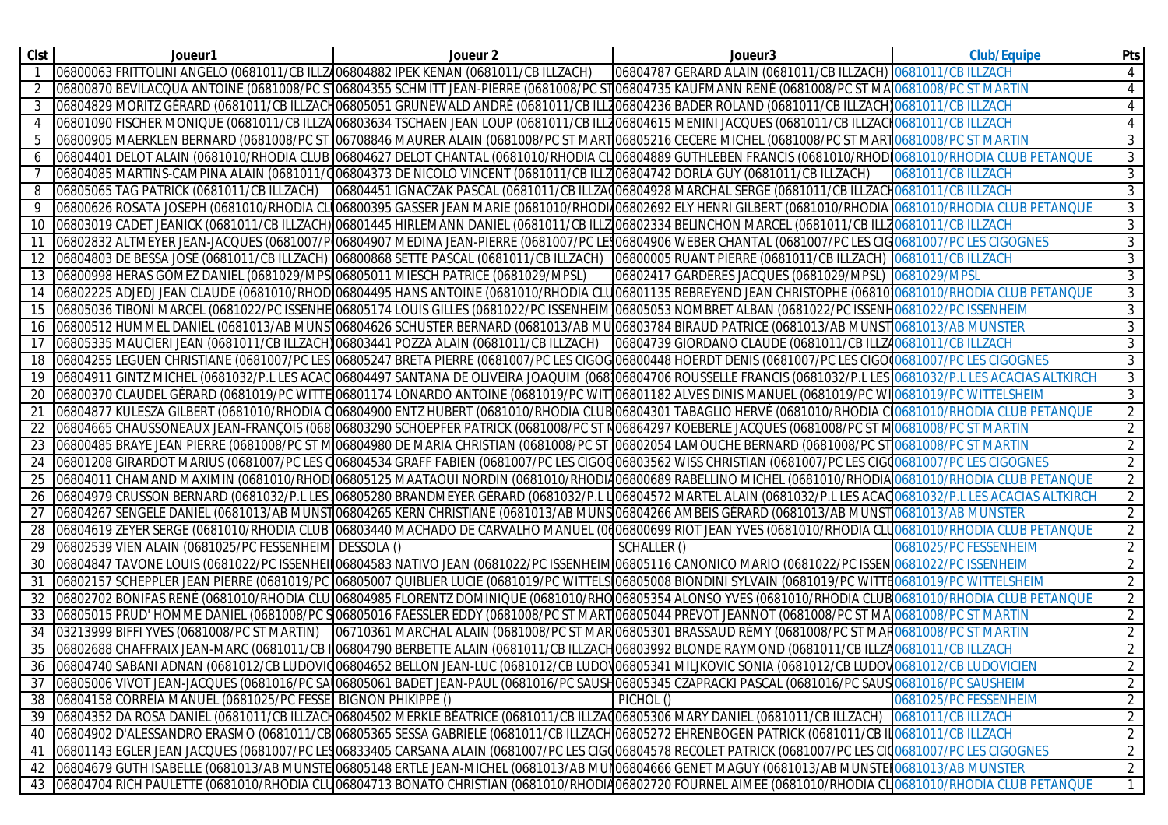| <b>Clst</b> | Joueur1                                                                                | Joueur <sub>2</sub>                                                                                                                                                                                                           | Joueur <sub>3</sub>                                           | <b>Club/Equipe</b>        | <b>Pts</b>     |
|-------------|----------------------------------------------------------------------------------------|-------------------------------------------------------------------------------------------------------------------------------------------------------------------------------------------------------------------------------|---------------------------------------------------------------|---------------------------|----------------|
|             | 06800063 FRITTOLINI ANGÉLO (0681011/CB ILLZ406804882 IPEK KENAN (0681011/CB ILLZACH)   |                                                                                                                                                                                                                               | 06804787 GERARD ALAIN (0681011/CB ILLZACH) 0681011/CB ILLZACH |                           | 4              |
|             |                                                                                        | 06800870 BEVILACQUA ANTOINE (0681008/PC S106804355 SCHMITT JEAN-PIERRE (0681008/PC ST06804735 KAUFMANN RENÉ (0681008/PC ST MA 0681008/PC ST MA                                                                                |                                                               |                           | 4              |
|             |                                                                                        | 06804829 MORITZ GÉRARD (0681011/CB ILLZACH06805051 GRUNEWALD ANDRÉ (0681011/CB ILLZ06804236 BADER ROLAND (0681011/CB ILLZACH) 0681011/CB ILLZACH                                                                              |                                                               |                           | $\overline{4}$ |
|             |                                                                                        | 06801090 FISCHER MONIQUE (0681011/CB ILLZA06803634 TSCHAEN JEAN LOUP (0681011/CB ILLZ06804615 MENINI JACQUES (0681011/CB ILLZACIO681011/CB ILLZACH                                                                            |                                                               |                           | $\overline{4}$ |
| 5           |                                                                                        | 06800905 MAERKLEN BERNARD (0681008/PC ST 06708846 MAURER ALAIN (0681008/PC ST MART 06805216 CECERE MICHEL (0681008/PC ST MART 0681008/PC ST MART 0681008/PC ST MART 1068009                                                   |                                                               |                           | $\overline{3}$ |
| 6           |                                                                                        | 06804401 DELOT ALAIN (0681010/RHODIA CLUB 06804627 DELOT CHANTAL (0681010/RHODIA CL 06804889 GUTHLEBEN FRANCIS (0681010/RHOD 0681010/RHODIA CLUB PETANQUE                                                                     |                                                               |                           | $\mathbf{3}$   |
|             |                                                                                        | 06804085 MARTINS-CAMPINA ALAIN (0681011/Q06804373 DE NICOLO VINCENT (0681011/CB ILLZ06804742 DORLA GUY (0681011/CB ILLZACH)                                                                                                   |                                                               | <b>0681011/CB ILLZACH</b> | $\mathbf{3}$   |
|             | 06805065 TAG PATRICK (0681011/CB ILLZACH)                                              | 06804451 IGNACZAK PASCAL (0681011/CB ILLZA(06804928 MARCHAL SERGE (0681011/CB ILLZACH0681011/CB ILLZACH                                                                                                                       |                                                               |                           | $\mathbf{3}$   |
|             |                                                                                        | 06800626 ROSATA JOSEPH (0681010/RHODIA CLO06800395 GASSER JEAN MARIE (0681010/RHODI/06802692 ELY HENRI GILBERT (0681010/RHODIA 0681010/RHODIA CLUB PETANQUE                                                                   |                                                               |                           | 3              |
| 10          |                                                                                        | 06803019 CADET JEANICK (0681011/CB ILLZACH) 06801445 HIRLEMANN DANIEL (0681011/CB ILLZ06802334 BELINCHON MARCEL (0681011/CB ILLZ0681011/CB ILLZACH                                                                            |                                                               |                           | $\overline{3}$ |
| 11          |                                                                                        | 06802832 ALTMEYER JEAN-JACQUES (0681007/PO6804907 MEDINA JEAN-PIERRE (0681007/PC LE 06804906 WEBER CHANTAL (0681007/PC LES CIG 0681007/PC LES CIG 0681007/PC LES CIG 0681007/PC LES CIG 0681007/PC LES CIG 0681007/PC LES CIG |                                                               |                           | $\mathbf{3}$   |
|             |                                                                                        | 06804803 DE BESSA JOSÉ (0681011/CB ILLZACH) 06800868 SETTE PASCAL (0681011/CB ILLZACH) 06800005 RUANT PIERRE (0681011/CB ILLZACH) 0681011/CB ILLZACH                                                                          |                                                               |                           | 3              |
|             | 06800998 HERAS GOMEZ DANIEL (0681029/MPS 06805011 MIESCH PATRICE (0681029/MPSL)        |                                                                                                                                                                                                                               | 06802417 GARDERES JACQUES (0681029/MPSL) 0681029/MPSL         |                           | $\overline{3}$ |
|             |                                                                                        | 06802225 ADJEDJ JEAN CLAUDE (0681010/RHOD 06804495 HANS ANTOINE (0681010/RHODIA CLU 06801135 REBREYEND JEAN CHRISTOPHE (06810 0681010/RHODIA CLUB PETANQUE                                                                    |                                                               |                           | 3              |
| 15          |                                                                                        | 06805036 TIBONI MARCEL (0681022/PC ISSENHE 06805174 LOUIS GILLES (0681022/PC ISSENHEIM 06805053 NOMBRET ALBAN (0681022/PC ISSENH0681022/PC ISSENHEIM                                                                          |                                                               |                           | 3              |
| 16          |                                                                                        | 06800512 HUMMEL DANIEL (0681013/AB MUNS 06804626 SCHUSTER BERNARD (0681013/AB MU 06803784 BIRAUD PATRICE (0681013/AB MUNST 0681013/AB MUNSTER                                                                                 |                                                               |                           | 3              |
|             | [06805335 MAUCIERI JEAN (0681011/CB ILLZACH) 06803441 POZZA ALAIN (0681011/CB ILLZACH) |                                                                                                                                                                                                                               | 06804739 GIORDANO CLAUDE (0681011/CB ILLZA0681011/CB ILLZACH  |                           | $\overline{3}$ |
| 18          |                                                                                        | 06804255 LEGUEN CHRISTIANE (0681007/PC LES 06805247 BRETA PIERRE (0681007/PC LES CIGOG 06800448 HOERDT DENIS (0681007/PC LES CIGO 0681007/PC LES CIGOGNES                                                                     |                                                               |                           | $\overline{3}$ |
| 19          |                                                                                        | 06804911 GINTZ MICHEL (0681032/P.L LES ACAC 06804497 SANTANA DE OLIVEIRA JOAQUIM (068106804706 ROUSSELLE FRANCIS (0681032/P.L LES 0681032/P.L LES ACACIAS ALTKIRCH                                                            |                                                               |                           | $\overline{3}$ |
| 20          |                                                                                        | 06800370 CLAUDEL GÉRARD (0681019/PC WITTE 06801174 LONARDO ANTOINE (0681019/PC WIT 06801182 ALVES DINIS MANUEL (0681019/PC WI 0681019/PC WITTELSHEIM                                                                          |                                                               |                           | $\mathbf{3}$   |
| 21          |                                                                                        | 06804877 KULESZA GILBERT (0681010/RHODIA C 06804900 ENTZ HUBERT (0681010/RHODIA CLUB 06804301 TABAGLIO HERVÉ (0681010/RHODIA C 0681010/RHODIA CLUB PETANQUE                                                                   |                                                               |                           | $\overline{2}$ |
|             |                                                                                        | 06804665 CHAUSSONEAUX JEAN-FRANÇOIS (068106803290 SCHOEPFER PATRICK (0681008/PC ST N06864297 KOEBERLE JACQUES (0681008/PC ST M0681008/PC ST MARTIN                                                                            |                                                               |                           | $\overline{2}$ |
| 23          |                                                                                        | 06800485 BRAYE JEAN PIERRE (0681008/PC ST MO6804980 DE MARIA CHRISTIAN (0681008/PC ST 06802054 LAMOUCHE BERNARD (0681008/PC ST 0681008/PC ST MARTIN                                                                           |                                                               |                           | 2              |
| 24          |                                                                                        | 06801208 GIRARDOT MARIUS (0681007/PC LES CO6804534 GRAFF FABIEN (0681007/PC LES CIGOC06803562 WISS CHRISTIAN (0681007/PC LES CIGO681007/PC LES CIGO681007/PC LES CIGOGNES                                                     |                                                               |                           | 2              |
|             |                                                                                        | 06804011 CHAMAND MAXIMIN (0681010/RHODI06805125 MAATAOUI NORDIN (0681010/RHODI406800689 RABELLINO MICHEL (0681010/RHODIA 0681010/RHODIA CLUB PETANQUE                                                                         |                                                               |                           | 2              |
| 26          |                                                                                        | 06804979 CRUSSON BERNARD (0681032/P.L LES 106805280 BRANDMEYER GÉRARD (0681032/P.L L106804572 MARTEL ALAIN (0681032/P.L LES ACAQ0681032/P.L LES ACACIAS ALTKIRCH                                                              |                                                               |                           | 2              |
|             |                                                                                        | 06804267 SENGELE DANIEL (0681013/AB MUNST06804265 KERN CHRISTIANE (0681013/AB MUNS06804266 AMBEIS GÉRARD (0681013/AB MUNST0681013/AB MUNST                                                                                    |                                                               |                           | 2              |
| 28          |                                                                                        | 06804619 ZEYER SERGE (0681010/RHODIA CLUB 06803440 MACHADO DE CARVALHO MANUEL (0406800699 RIOT JEAN YVES (0681010/RHODIA CLU0681010/RHODIA CLUB PETANQUE                                                                      |                                                               |                           | 2              |
|             | 06802539 VIEN ALAIN (0681025/PC FESSENHEIM DESSOLA ()                                  |                                                                                                                                                                                                                               | SCHALLER ()                                                   | 0681025/PC FESSENHEIM     | 2              |
| 30          |                                                                                        | 06804847 TAVONE LOUIS (0681022/PC ISSENHEII 06804583 NATIVO JEAN (0681022/PC ISSENHEIM 06805116 CANONICO MARIO (0681022/PC ISSEN 0681022/PC ISSEN 0681022/PC ISSEN HEIM                                                       |                                                               |                           | $\overline{2}$ |
| 31          |                                                                                        | 06802157 SCHEPPLER JEAN PIERRE (0681019/PC 06805007 QUIBLIER LUCIE (0681019/PC WITTELS 06805008 BIONDINI SYLVAIN (0681019/PC WITTE 0681019/PC WITTED 681019/PC WITTELSHEIM                                                    |                                                               |                           | $\overline{2}$ |
| 32          |                                                                                        | 06802702 BONIFAS RENÉ (0681010/RHODIA CLUI06804985 FLORENTZ DOMINIQUE (0681010/RHO06805354 ALONSO YVES (0681010/RHODIA CLUB 0681010/RHODIA CLUB PETANQUE                                                                      |                                                               |                           | 2              |
| 33          |                                                                                        | 06805015 PRUD' HOMME DANIEL (0681008/PC SO06805016 FAESSLER EDDY (0681008/PC ST MARTO6805044 PREVOT JEANNOT (0681008/PC ST MAO681008/PC ST MATTIN                                                                             |                                                               |                           | $\overline{2}$ |
| 34          | 03213999 BIFFI YVES (0681008/PC ST MARTIN)                                             | 06710361 MARCHAL ALAIN (0681008/PC ST MAR 06805301 BRASSAUD RÉMY (0681008/PC ST MAR 0681008/PC ST MARTIN                                                                                                                      |                                                               |                           | $\overline{2}$ |
| 35          |                                                                                        | 06802688 CHAFFRAIX JEAN-MARC (0681011/CB I 06804790 BERBETTE ALAIN (0681011/CB ILLZACH06803992 BLONDE RAYMOND (0681011/CB ILLZA0681011/CB ILLZACH                                                                             |                                                               |                           | $\overline{2}$ |
|             |                                                                                        | 36 06804740 SABANI ADNAN (0681012/CB LUDOVIQ06804652 BELLON JEAN-LUC (0681012/CB LUDOV06805341 MILJKOVIC SONIA (0681012/CB LUDOV0681012/CB LUDOVICIEN                                                                         |                                                               |                           | $\overline{2}$ |
|             |                                                                                        | 37 06805006 VIVOT JEAN-JACQUES (0681016/PC SA 06805061 BADET JEAN-PAUL (0681016/PC SAUSH06805345 CZAPRACKI PASCAL (0681016/PC SAUS 0681016/PC SAUSHEIM                                                                        |                                                               |                           | $\overline{2}$ |
|             | 38 06804158 CORREIA MANUEL (0681025/PC FESSEL BIGNON PHIKIPPE ()                       |                                                                                                                                                                                                                               | PICHOL ()                                                     | 0681025/PC FESSENHEIM     | $\overline{2}$ |
|             |                                                                                        | 39 06804352 DA ROSA DANIEL (0681011/CB ILLZACH06804502 MERKLE BÉATRICE (0681011/CB ILLZAQ06805306 MARY DANIEL (0681011/CB ILLZACH) 0681011/CB ILLZACH                                                                         |                                                               |                           | $\overline{2}$ |
|             |                                                                                        | 40  06804902 D'ALESSANDRO ERASMO (0681011/CB 06805365 SESSA GABRIELE (0681011/CB ILLZACH 06805272 EHRENBOGEN PATRICK (0681011/CB II 0681011/CB ILLZACH                                                                        |                                                               |                           | $\overline{2}$ |
|             |                                                                                        | 41  06801143 EGLER JEAN JACQUES (0681007/PC LES 06833405 CARSANA ALAIN (0681007/PC LES CIGO06804578 RECOLET PATRICK (0681007/PC LES CIQ0681007/PC LES CIGOGNES                                                                |                                                               |                           | $\overline{2}$ |
|             |                                                                                        | 42 06804679 GUTH ISABELLE (0681013/AB MUNSTE 06805148 ERTLE JEAN-MICHEL (0681013/AB MUI 06804666 GENET MAGUY (0681013/AB MUNSTE 0681013/AB MUNSTE NAGUY                                                                       |                                                               |                           | $\overline{2}$ |
|             |                                                                                        | 43 06804704 RICH PAULETTE (0681010/RHODIA CLU06804713 BONATO CHRISTIAN (0681010/RHODIA06802720 FOURNEL AIMÉE (0681010/RHODIA CLO681010/RHODIA CLUB PETANQUE                                                                   |                                                               |                           | $\overline{1}$ |